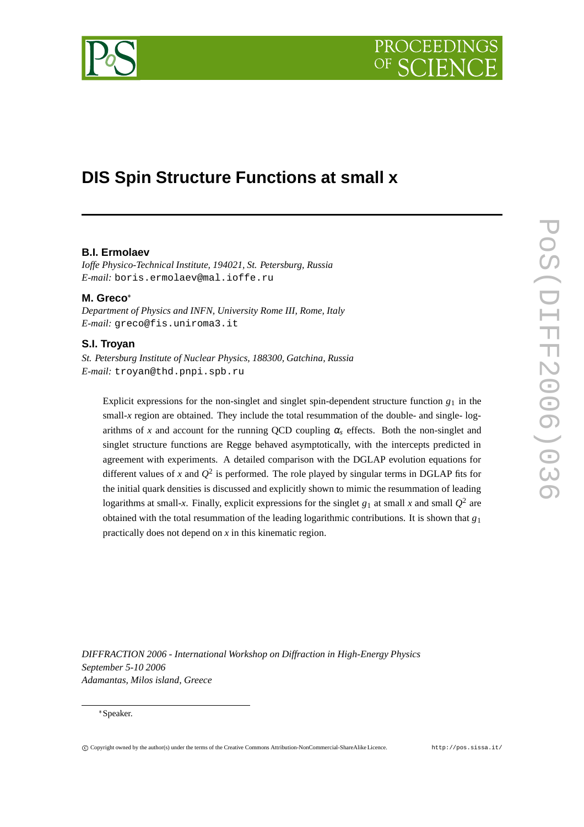# PROCEEDIN



## **DIS Spin Structure Functions at small x**

#### **B.I. Ermolaev**

*Ioffe Physico-Technical Institute, 194021, St. Petersburg, Russia E-mail:* boris.ermolaev@mal.ioffe.ru

#### **M. Greco**

*Department of Physics and INFN, University Rome III, Rome, Italy E-mail:* greco@fis.uniroma3.it

#### **S.I. Troyan**

*St. Petersburg Institute of Nuclear Physics, 188300, Gatchina, Russia E-mail:* troyan@thd.pnpi.spb.ru

Explicit expressions for the non-singlet and singlet spin-dependent structure function  $g_1$  in the small-*x* region are obtained. They include the total resummation of the double- and single- logarithms of *x* and account for the running QCD coupling  $\alpha_s$  effects. Both the non-singlet and singlet structure functions are Regge behaved asymptotically, with the intercepts predicted in agreement with experiments. A detailed comparison with the DGLAP evolution equations for different values of *x* and  $Q^2$  is performed. The role played by singular terms in DGLAP fits for the initial quark densities is discussed and explicitly shown to mimic the resummation of leading logarithms at small-x. Finally, explicit expressions for the singlet  $g_1$  at small x and small  $Q^2$  are obtained with the total resummation of the leading logarithmic contributions. It is shown that *g*<sup>1</sup> practically does not depend on *x* in this kinematic region.

*DIFFRACTION 2006 - International Workshop on Diffraction in High-Energy Physics September 5-10 2006 Adamantas, Milos island, Greece*

#### Speaker.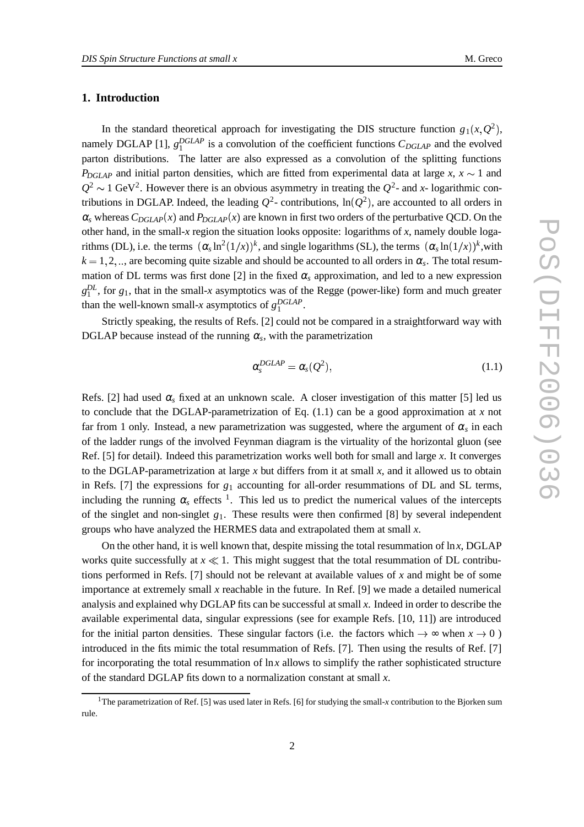#### **1. Introduction**

In the standard theoretical approach for investigating the DIS structure function  $g_1(x, Q^2)$ , namely DGLAP [1],  $g_1^{DGLAP}$  is a convolution of the coefficient functions  $C_{DGLAP}$  and the evolved parton distributions. The latter are also expressed as a convolution of the splitting functions  $P_{DGLAP}$  and initial parton densities, which are fitted from experimental data at large *x*,  $x \sim 1$  and  $Q^2 \sim 1$  GeV<sup>2</sup>. However there is an obvious asymmetry in treating the  $Q^2$ - and *x*- logarithmic contributions in DGLAP. Indeed, the leading  $Q^2$ - contributions,  $\ln(Q^2)$ , are accounted to all orders in  $\alpha_s$  whereas  $C_{DGLAP}(x)$  and  $P_{DGLAP}(x)$  are known in first two orders of the perturbative QCD. On the other hand, in the small-*x* region the situation looks opposite: logarithms of *x*, namely double logarithms (DL), i.e. the terms  $(\alpha_s \ln^2(1/x))^k$ , and single logarithms (SL), the terms  $(\alpha_s \ln(1/x))^k$ , with  $k = 1, 2, \dots$ , are becoming quite sizable and should be accounted to all orders in  $\alpha_s$ . The total resummation of DL terms was first done [2] in the fixed  $\alpha_s$  approximation, and led to a new expression  $g_1^{DL}$ , for  $g_1$ , that in the small-*x* asymptotics was of the Regge (power-like) form and much greater than the well-known small-*x* asymptotics of  $g_1^{DGLAP}$ .

Strictly speaking, the results of Refs. [2] could not be compared in a straightforward way with DGLAP because instead of the running  $\alpha_s$ , with the parametrization

$$
\alpha_s^{DGLAP} = \alpha_s(Q^2), \qquad (1.1)
$$

Refs. [2] had used  $\alpha_s$  fixed at an unknown scale. A closer investigation of this matter [5] led us to conclude that the DGLAP-parametrization of Eq.  $(1.1)$  can be a good approximation at *x* not far from 1 only. Instead, a new parametrization was suggested, where the argument of  $\alpha_s$  in each of the ladder rungs of the involved Feynman diagram is the virtuality of the horizontal gluon (see Ref. [5] for detail). Indeed this parametrization works well both for small and large *x*. It converges to the DGLAP-parametrization at large *x* but differs from it at small *x*, and it allowed us to obtain in Refs. [7] the expressions for *g*<sup>1</sup> accounting for all-order resummations of DL and SL terms, including the running  $\alpha_s$  effects <sup>1</sup>. This led us to predict the numerical values of the intercepts of the singlet and non-singlet *g*1. These results were then confirmed [8] by several independent groups who have analyzed the HERMES data and extrapolated them at small *x*.

On the other hand, it is well known that, despite missing the total resummation of ln*x*, DGLAP works quite successfully at  $x \ll 1$ . This might suggest that the total resummation of DL contributions performed in Refs. [7] should not be relevant at available values of *x* and might be of some importance at extremely small *x* reachable in the future. In Ref. [9] we made a detailed numerical analysis and explained why DGLAP fits can be successful at small *x*. Indeed in order to describe the available experimental data, singular expressions (see for example Refs. [10, 11]) are introduced for the initial parton densities. These singular factors (i.e. the factors which  $\rightarrow \infty$  when  $x \rightarrow 0$ ) introduced in the fits mimic the total resummation of Refs. [7]. Then using the results of Ref. [7] for incorporating the total resummation of ln*x* allows to simplify the rather sophisticated structure of the standard DGLAP fits down to a normalization constant at small *x*.

<sup>&</sup>lt;sup>1</sup>The parametrization of Ref. [5] was used later in Refs. [6] for studying the small-*x* contribution to the Bjorken sum rule.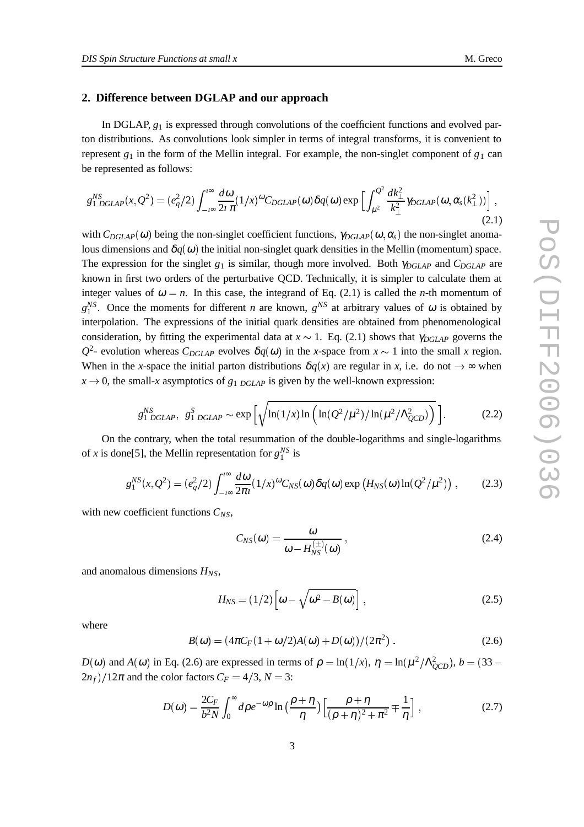#### **2. Difference between DGLAP and our approach**

In DGLAP,  $g_1$  is expressed through convolutions of the coefficient functions and evolved parton distributions. As convolutions look simpler in terms of integral transforms, it is convenient to represent  $g_1$  in the form of the Mellin integral. For example, the non-singlet component of  $g_1$  can be represented as follows:

$$
g_{1\ DGLAP}^{NS}(x,Q^2) = (e_q^2/2) \int_{-\infty}^{\infty} \frac{d\omega}{2i\pi} (1/x)^{\omega} C_{DGLAP}(\omega) \delta q(\omega) \exp \left[ \int_{\mu^2}^{Q^2} \frac{dk_{\perp}^2}{k_{\perp}^2} \gamma_{DGLAP}(\omega, \alpha_s(k_{\perp}^2)) \right],
$$
\n(2.1)

with  $C_{DGLAP}(\omega)$  being the non-singlet coefficient functions,  $\gamma_{DGLAP}(\omega, \alpha_s)$  the non-singlet anomalous dimensions and  $\delta q(\omega)$  the initial non-singlet quark densities in the Mellin (momentum) space. The expression for the singlet *g*<sup>1</sup> is similar, though more involved. Both <sup>γ</sup>*DGLAP* and *CDGLAP* are known in first two orders of the perturbative QCD. Technically, it is simpler to calculate them at integer values of  $\omega = n$ . In this case, the integrand of Eq. (2.1) is called the *n*-th momentum of  $g_1^{NS}$ . Once the moments for different *n* are known,  $g^{NS}$  at arbitrary values of  $\omega$  is obtained by interpolation. The expressions of the initial quark densities are obtained from phenomenological consideration, by fitting the experimental data at  $x \sim 1$ . Eq. (2.1) shows that  $\gamma_{DGLAP}$  governs the  $Q^2$ - evolution whereas  $C_{DGLAP}$  evolves  $\delta q(\omega)$  in the *x*-space from  $x \sim 1$  into the small *x* region. When in the *x*-space the initial parton distributions  $\delta q(x)$  are regular in *x*, i.e. do not  $\rightarrow \infty$  when  $x \to 0$ , the small-*x* asymptotics of  $g_1$  *DGLAP* is given by the well-known expression:

$$
g_{1\ DGLAP}^{NS},\ g_{1\ DGLAP}^{S} \sim \exp\left[\sqrt{\ln(1/x)\ln\left(\ln(Q^{2}/\mu^{2})/\ln(\mu^{2}/\Lambda_{QCD}^{2})\right)}\right].
$$
 (2.2)

On the contrary, when the total resummation of the double-logarithms and single-logarithms of *x* is done[5], the Mellin representation for  $g_1^{NS}$  is

$$
g_1^{NS}(x,Q^2) = (e_q^2/2) \int_{-\infty}^{\infty} \frac{d\omega}{2\pi i} (1/x)^{\omega} C_{NS}(\omega) \delta q(\omega) \exp\left(H_{NS}(\omega) \ln(Q^2/\mu^2)\right), \quad (2.3)
$$

with new coefficient functions *CNS*,

$$
C_{NS}(\omega) = \frac{\omega}{\omega - H_{NS}^{(\pm)}(\omega)},
$$
\n(2.4)

and anomalous dimensions *HNS*,

$$
H_{NS} = (1/2) \left[ \omega - \sqrt{\omega^2 - B(\omega)} \right], \qquad (2.5)
$$

where

$$
B(\omega) = (4\pi C_F (1 + \omega/2)A(\omega) + D(\omega))/(2\pi^2) .
$$
 (2.6)

 $D(\omega)$  and  $A(\omega)$  in Eq. (2.6) are expressed in terms of  $\rho = \ln(1/x)$ ,  $\eta = \ln(\mu^2/\Lambda_{QCD}^2)$ ,  $b = (33 - \mu^2/\Lambda_{QCD}^2)$  $(2n_f)/12\pi$  and the color factors  $C_F = 4/3$ ,  $N = 3$ :

$$
D(\omega) = \frac{2C_F}{b^2 N} \int_0^\infty d\rho e^{-\omega\rho} \ln\left(\frac{\rho + \eta}{\eta}\right) \left[\frac{\rho + \eta}{(\rho + \eta)^2 + \pi^2} \mp \frac{1}{\eta}\right],\tag{2.7}
$$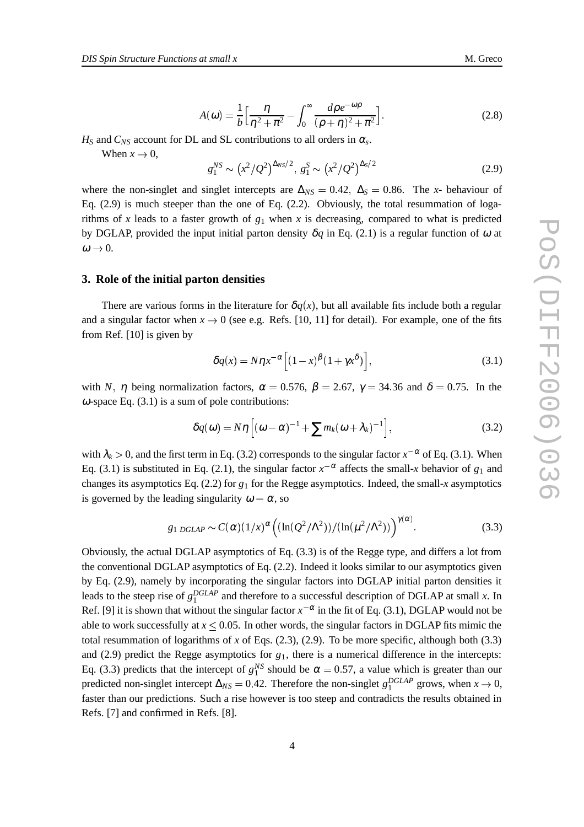$$
A(\omega) = \frac{1}{b} \left[ \frac{\eta}{\eta^2 + \pi^2} - \int_0^\infty \frac{d\rho e^{-\omega\rho}}{(\rho + \eta)^2 + \pi^2} \right].
$$
 (2.8)

 $H<sub>S</sub>$  and  $C<sub>NS</sub>$  account for DL and SL contributions to all orders in  $\alpha<sub>s</sub>$ .

When  $x \to 0$ , 0,

$$
g_1^{NS} \sim \left(x^2/Q^2\right)^{\Delta_{NS}/2}, \ g_1^S \sim \left(x^2/Q^2\right)^{\Delta_S/2} \tag{2.9}
$$

where the non-singlet and singlet intercepts are  $\Delta_{NS} = 0.42$ ,  $\Delta_S = 0.86$ . The *x*- behaviour of Eq. (2.9) is much steeper than the one of Eq. (2.2). Obviously, the total resummation of logarithms of  $x$  leads to a faster growth of  $g_1$  when  $x$  is decreasing, compared to what is predicted by DGLAP, provided the input initial parton density  $\delta q$  in Eq. (2.1) is a regular function of  $\omega$  at  $\omega \rightarrow 0.$ 0.

#### **3. Role of the initial parton densities**

There are various forms in the literature for  $\delta q(x)$ , but all available fits include both a regular and a singular factor when  $x \to 0$  (see e.g. Refs. [10, 11] for detail). For example, one of the fits from Ref. [10] is given by

$$
\delta q(x) = N \eta x^{-\alpha} \left[ (1-x)^{\beta} (1+\gamma x^{\delta}) \right],\tag{3.1}
$$

with *N*, *η* being normalization factors,  $\alpha = 0.576$ ,  $\beta = 2.67$ ,  $\gamma = 34.36$  and  $\delta = 0.75$ . In the  $\omega$ -space Eq. (3.1) is a sum of pole contributions:

$$
\delta q(\omega) = N\eta \left[ (\omega - \alpha)^{-1} + \sum m_k (\omega + \lambda_k)^{-1} \right],\tag{3.2}
$$

with  $\lambda_k > 0$ , and the first term in Eq. (3.2) corresponds to the singular factor  $x^{-\alpha}$  of Eq. (3.1). When Eq. (3.1) is substituted in Eq. (2.1), the singular factor  $x^{-\alpha}$  affects the small-*x* behavior of  $g_1$  and changes its asymptotics Eq. (2.2) for *g*<sup>1</sup> for the Regge asymptotics. Indeed, the small-*x* asymptotics is governed by the leading singularity  $\omega = \alpha$ , so

$$
g_{1\,DGLAP} \sim C(\alpha) \left(1/x\right)^{\alpha} \left( \left(\ln(Q^2/\Lambda^2)\right) / \left(\ln(\mu^2/\Lambda^2)\right) \right)^{\gamma(\alpha)}.\tag{3.3}
$$

Obviously, the actual DGLAP asymptotics of Eq. (3.3) is of the Regge type, and differs a lot from the conventional DGLAP asymptotics of Eq. (2.2). Indeed it looks similar to our asymptotics given by Eq. (2.9), namely by incorporating the singular factors into DGLAP initial parton densities it leads to the steep rise of  $g_1^{DGLAP}$  and therefore to a successful description of DGLAP at small *x*. In Ref. [9] it is shown that without the singular factor  $x^{-\alpha}$  in the fit of Eq. (3.1), DGLAP would not be able to work successfully at  $x \leq 0.05$ . In other words, the singular factors in DGLAP fits mimic the total resummation of logarithms of  $x$  of Eqs. (2.3), (2.9). To be more specific, although both (3.3) and (2.9) predict the Regge asymptotics for  $g_1$ , there is a numerical difference in the intercepts: Eq. (3.3) predicts that the intercept of  $g_1^{NS}$  should be  $\alpha = 0.57$ , a value which is greater than our predicted non-singlet intercept  $\Delta_{NS} = 0.42$ . Therefore the non-singlet  $g_1^{DGLAP}$  grows, when *x*  0, faster than our predictions. Such a rise however is too steep and contradicts the results obtained in Refs. [7] and confirmed in Refs. [8].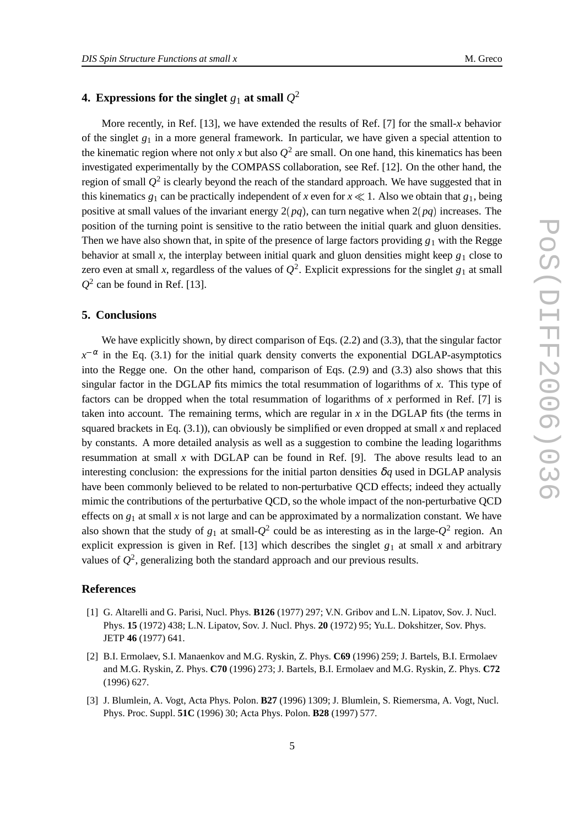### **4. Expressions for the singlet**  $g_1$  **at small**  $Q^2$

More recently, in Ref. [13], we have extended the results of Ref. [7] for the small-*x* behavior of the singlet  $g_1$  in a more general framework. In particular, we have given a special attention to the kinematic region where not only *x* but also  $Q^2$  are small. On one hand, this kinematics has been investigated experimentally by the COMPASS collaboration, see Ref. [12]. On the other hand, the region of small  $Q^2$  is clearly beyond the reach of the standard approach. We have suggested that in this kinematics  $g_1$  can be practically independent of *x* even for  $x \ll 1$ . Also we obtain that  $g_1$ , being positive at small values of the invariant energy  $2(pq)$ , can turn negative when  $2(pq)$  increases. The position of the turning point is sensitive to the ratio between the initial quark and gluon densities. Then we have also shown that, in spite of the presence of large factors providing  $g_1$  with the Regge behavior at small *x*, the interplay between initial quark and gluon densities might keep  $g_1$  close to zero even at small *x*, regardless of the values of  $Q^2$ . Explicit expressions for the singlet  $g_1$  at small  $Q^2$  can be found in Ref. [13].

#### **5. Conclusions**

We have explicitly shown, by direct comparison of Eqs.  $(2.2)$  and  $(3.3)$ , that the singular factor  $x^{-\alpha}$  in the Eq. (3.1) for the initial quark density converts the exponential DGLAP-asymptotics into the Regge one. On the other hand, comparison of Eqs. (2.9) and (3.3) also shows that this singular factor in the DGLAP fits mimics the total resummation of logarithms of *x*. This type of factors can be dropped when the total resummation of logarithms of *x* performed in Ref. [7] is taken into account. The remaining terms, which are regular in  $x$  in the DGLAP fits (the terms in squared brackets in Eq.  $(3.1)$ ), can obviously be simplified or even dropped at small *x* and replaced by constants. A more detailed analysis as well as a suggestion to combine the leading logarithms resummation at small  $x$  with DGLAP can be found in Ref. [9]. The above results lead to an interesting conclusion: the expressions for the initial parton densities  $\delta q$  used in DGLAP analysis have been commonly believed to be related to non-perturbative QCD effects; indeed they actually mimic the contributions of the perturbative QCD, so the whole impact of the non-perturbative QCD effects on  $g_1$  at small x is not large and can be approximated by a normalization constant. We have also shown that the study of  $g_1$  at small- $Q^2$  could be as interesting as in the large- $Q^2$  region. An explicit expression is given in Ref. [13] which describes the singlet  $g_1$  at small *x* and arbitrary values of  $Q^2$ , generalizing both the standard approach and our previous results.

#### **References**

- [1] G. Altarelli and G. Parisi, Nucl. Phys. **B126** (1977) 297; V.N. Gribov and L.N. Lipatov, Sov. J. Nucl. Phys. **15** (1972) 438; L.N. Lipatov, Sov. J. Nucl. Phys. **20** (1972) 95; Yu.L. Dokshitzer, Sov. Phys. JETP **46** (1977) 641.
- [2] B.I. Ermolaev, S.I. Manaenkov and M.G. Ryskin, Z. Phys. **C69** (1996) 259; J. Bartels, B.I. Ermolaev and M.G. Ryskin, Z. Phys. **C70** (1996) 273; J. Bartels, B.I. Ermolaev and M.G. Ryskin, Z. Phys. **C72** (1996) 627.
- [3] J. Blumlein, A. Vogt, Acta Phys. Polon. **B27** (1996) 1309; J. Blumlein, S. Riemersma, A. Vogt, Nucl. Phys. Proc. Suppl. **51C** (1996) 30; Acta Phys. Polon. **B28** (1997) 577.